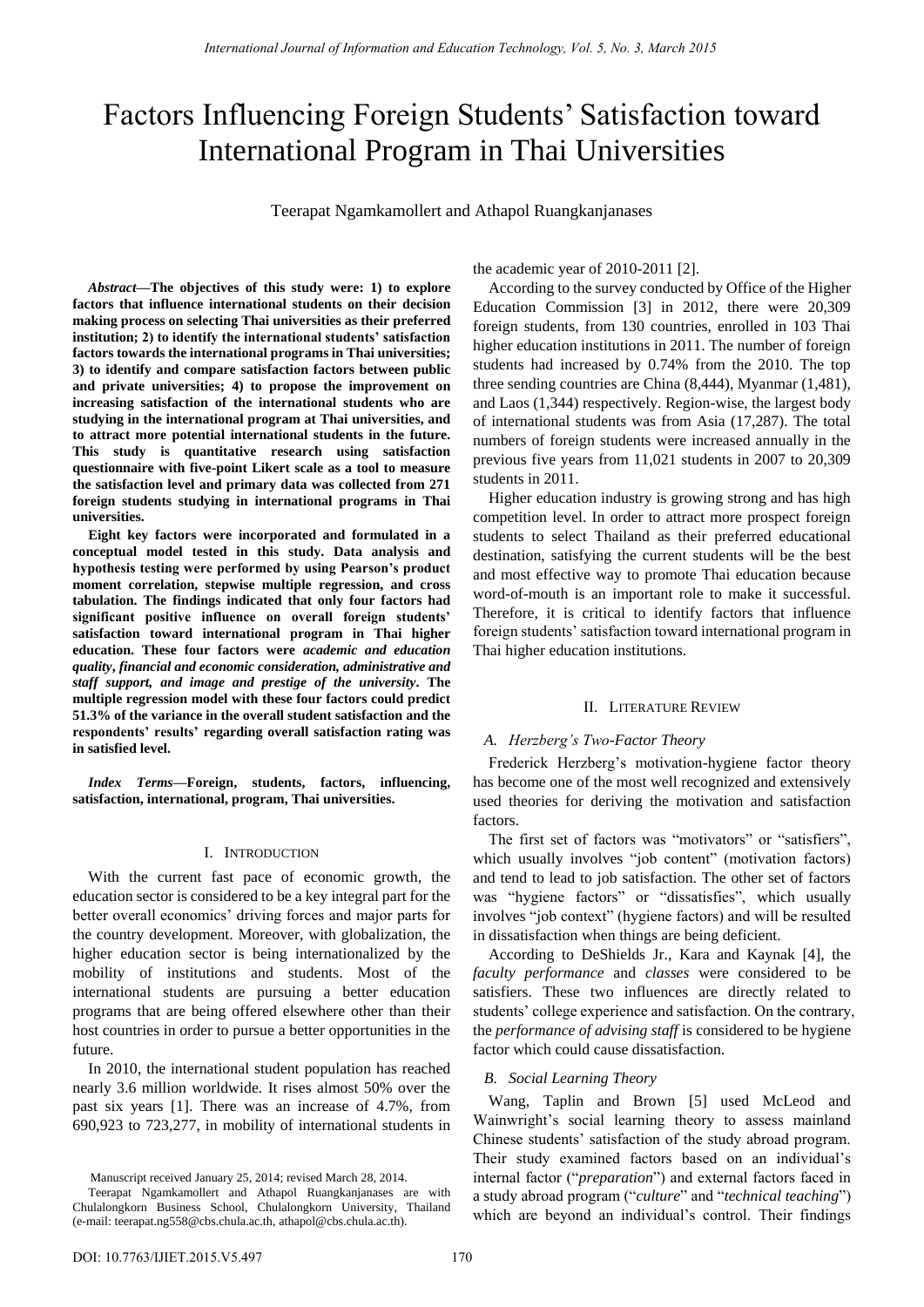# Factors Influencing Foreign Students' Satisfaction toward International Program in Thai Universities

Teerapat Ngamkamollert and Athapol Ruangkanjanases

*Abstract***—The objectives of this study were: 1) to explore factors that influence international students on their decision making process on selecting Thai universities as their preferred institution; 2) to identify the international students' satisfaction factors towards the international programs in Thai universities; 3) to identify and compare satisfaction factors between public and private universities; 4) to propose the improvement on increasing satisfaction of the international students who are studying in the international program at Thai universities, and to attract more potential international students in the future. This study is quantitative research using satisfaction questionnaire with five-point Likert scale as a tool to measure the satisfaction level and primary data was collected from 271 foreign students studying in international programs in Thai universities.** 

**Eight key factors were incorporated and formulated in a conceptual model tested in this study. Data analysis and hypothesis testing were performed by using Pearson's product moment correlation, stepwise multiple regression, and cross tabulation. The findings indicated that only four factors had significant positive influence on overall foreign students' satisfaction toward international program in Thai higher education. These four factors were** *academic and education quality***,** *financial and economic consideration, administrative and staff support, and image and prestige of the university***. The multiple regression model with these four factors could predict 51.3% of the variance in the overall student satisfaction and the respondents' results' regarding overall satisfaction rating was in satisfied level.**

*Index Terms***—Foreign, students, factors, influencing, satisfaction, international, program, Thai universities.**

## I. INTRODUCTION

With the current fast pace of economic growth, the education sector is considered to be a key integral part for the better overall economics' driving forces and major parts for the country development. Moreover, with globalization, the higher education sector is being internationalized by the mobility of institutions and students. Most of the international students are pursuing a better education programs that are being offered elsewhere other than their host countries in order to pursue a better opportunities in the future.

In 2010, the international student population has reached nearly 3.6 million worldwide. It rises almost 50% over the past six years [1]. There was an increase of 4.7%, from 690,923 to 723,277, in mobility of international students in

Manuscript received January 25, 2014; revised March 28, 2014.

the academic year of 2010-2011 [2].

According to the survey conducted by Office of the Higher Education Commission [3] in 2012, there were 20,309 foreign students, from 130 countries, enrolled in 103 Thai higher education institutions in 2011. The number of foreign students had increased by 0.74% from the 2010. The top three sending countries are China (8,444), Myanmar (1,481), and Laos (1,344) respectively. Region-wise, the largest body of international students was from Asia (17,287). The total numbers of foreign students were increased annually in the previous five years from 11,021 students in 2007 to 20,309 students in 2011.

Higher education industry is growing strong and has high competition level. In order to attract more prospect foreign students to select Thailand as their preferred educational destination, satisfying the current students will be the best and most effective way to promote Thai education because word-of-mouth is an important role to make it successful. Therefore, it is critical to identify factors that influence foreign students' satisfaction toward international program in Thai higher education institutions.

## II. LITERATURE REVIEW

## *A. Herzberg's Two-Factor Theory*

Frederick Herzberg's motivation-hygiene factor theory has become one of the most well recognized and extensively used theories for deriving the motivation and satisfaction factors.

The first set of factors was "motivators" or "satisfiers", which usually involves "job content" (motivation factors) and tend to lead to job satisfaction. The other set of factors was "hygiene factors" or "dissatisfies", which usually involves "job context" (hygiene factors) and will be resulted in dissatisfaction when things are being deficient.

According to DeShields Jr., Kara and Kaynak [4], the *faculty performance* and *classes* were considered to be satisfiers. These two influences are directly related to students' college experience and satisfaction. On the contrary, the *performance of advising staff* is considered to be hygiene factor which could cause dissatisfaction.

## *B. Social Learning Theory*

Wang, Taplin and Brown [5] used McLeod and Wainwright's social learning theory to assess mainland Chinese students' satisfaction of the study abroad program. Their study examined factors based on an individual's internal factor ("*preparation*") and external factors faced in a study abroad program ("*culture*" and "*technical teaching*") which are beyond an individual's control. Their findings

Teerapat Ngamkamollert and Athapol Ruangkanjanases are with Chulalongkorn Business School, Chulalongkorn University, Thailand (e-mail: teerapat.ng558@cbs.chula.ac.th, athapol@cbs.chula.ac.th).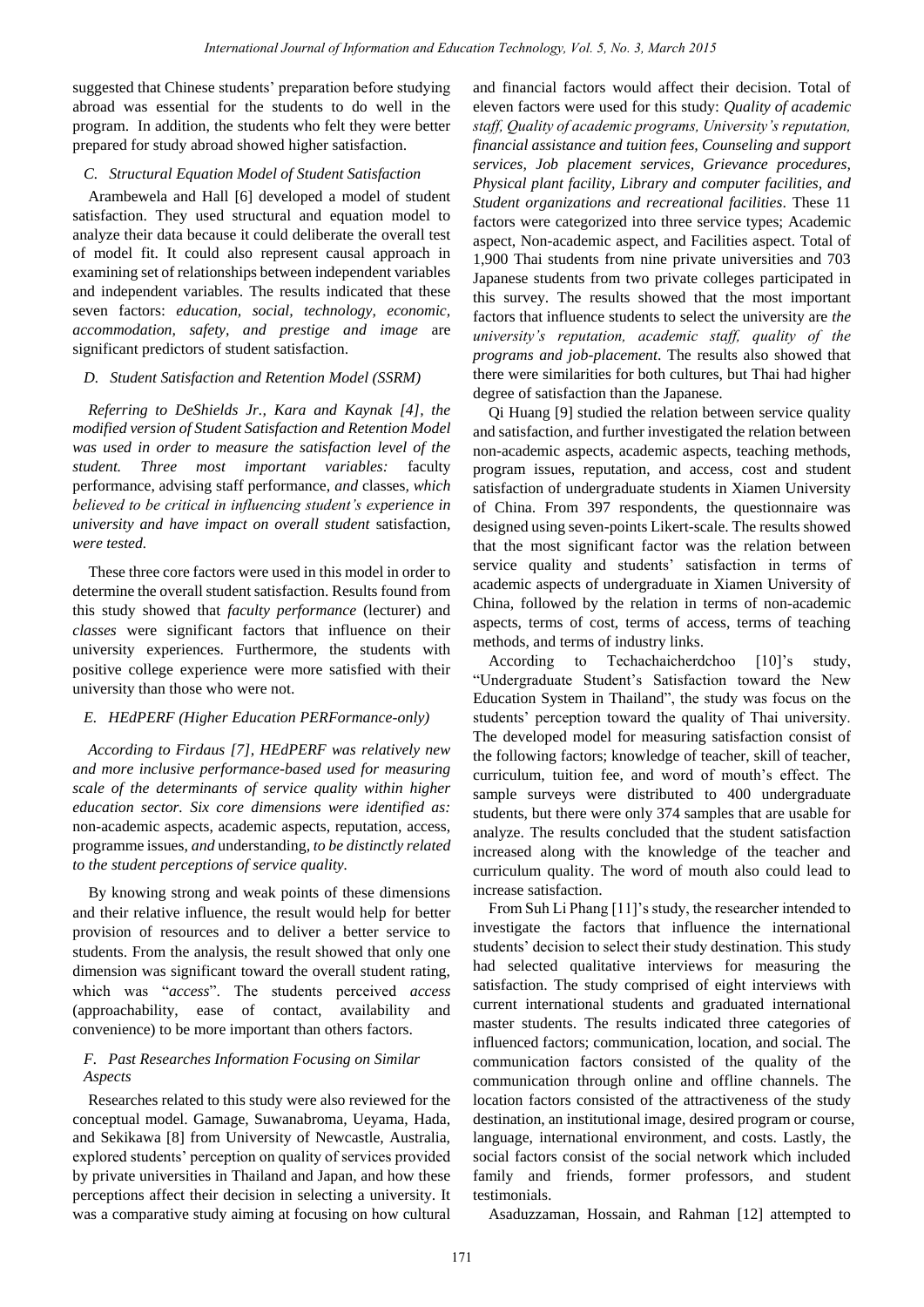suggested that Chinese students' preparation before studying abroad was essential for the students to do well in the program. In addition, the students who felt they were better prepared for study abroad showed higher satisfaction.

## *C. Structural Equation Model of Student Satisfaction*

Arambewela and Hall [6] developed a model of student satisfaction. They used structural and equation model to analyze their data because it could deliberate the overall test of model fit. It could also represent causal approach in examining set of relationships between independent variables and independent variables. The results indicated that these seven factors: *education, social, technology, economic, accommodation, safety, and prestige and image* are significant predictors of student satisfaction.

#### *D. Student Satisfaction and Retention Model (SSRM)*

*Referring to DeShields Jr., Kara and Kaynak [4], the modified version of Student Satisfaction and Retention Model was used in order to measure the satisfaction level of the student. Three most important variables:* faculty performance, advising staff performance, *and* classes*, which believed to be critical in influencing student's experience in university and have impact on overall student* satisfaction*, were tested.* 

These three core factors were used in this model in order to determine the overall student satisfaction. Results found from this study showed that *faculty performance* (lecturer) and *classes* were significant factors that influence on their university experiences. Furthermore, the students with positive college experience were more satisfied with their university than those who were not.

## *E. HEdPERF (Higher Education PERFormance-only)*

*According to Firdaus [7], HEdPERF was relatively new and more inclusive performance-based used for measuring scale of the determinants of service quality within higher education sector. Six core dimensions were identified as:*  non-academic aspects, academic aspects, reputation, access, programme issues, *and* understanding*, to be distinctly related to the student perceptions of service quality.* 

By knowing strong and weak points of these dimensions and their relative influence, the result would help for better provision of resources and to deliver a better service to students. From the analysis, the result showed that only one dimension was significant toward the overall student rating, which was "*access*". The students perceived *access* (approachability, ease of contact, availability and convenience) to be more important than others factors.

## *F. Past Researches Information Focusing on Similar Aspects*

Researches related to this study were also reviewed for the conceptual model. Gamage, Suwanabroma, Ueyama, Hada, and Sekikawa [8] from University of Newcastle, Australia, explored students' perception on quality of services provided by private universities in Thailand and Japan, and how these perceptions affect their decision in selecting a university. It was a comparative study aiming at focusing on how cultural and financial factors would affect their decision. Total of eleven factors were used for this study: *Quality of academic staff, Quality of academic programs, University's reputation, financial assistance and tuition fees, Counseling and support services, Job placement services, Grievance procedures, Physical plant facility, Library and computer facilities, and Student organizations and recreational facilities*. These 11 factors were categorized into three service types; Academic aspect, Non-academic aspect, and Facilities aspect. Total of 1,900 Thai students from nine private universities and 703 Japanese students from two private colleges participated in this survey. The results showed that the most important factors that influence students to select the university are *the university's reputation, academic staff, quality of the programs and job-placement*. The results also showed that there were similarities for both cultures, but Thai had higher degree of satisfaction than the Japanese.

Qi Huang [9] studied the relation between service quality and satisfaction, and further investigated the relation between non-academic aspects, academic aspects, teaching methods, program issues, reputation, and access, cost and student satisfaction of undergraduate students in Xiamen University of China. From 397 respondents, the questionnaire was designed using seven-points Likert-scale. The results showed that the most significant factor was the relation between service quality and students' satisfaction in terms of academic aspects of undergraduate in Xiamen University of China, followed by the relation in terms of non-academic aspects, terms of cost, terms of access, terms of teaching methods, and terms of industry links.

According to Techachaicherdchoo [10]'s study, "Undergraduate Student's Satisfaction toward the New Education System in Thailand", the study was focus on the students' perception toward the quality of Thai university. The developed model for measuring satisfaction consist of the following factors; knowledge of teacher, skill of teacher, curriculum, tuition fee, and word of mouth's effect. The sample surveys were distributed to 400 undergraduate students, but there were only 374 samples that are usable for analyze. The results concluded that the student satisfaction increased along with the knowledge of the teacher and curriculum quality. The word of mouth also could lead to increase satisfaction.

From Suh Li Phang [11]'s study, the researcher intended to investigate the factors that influence the international students' decision to select their study destination. This study had selected qualitative interviews for measuring the satisfaction. The study comprised of eight interviews with current international students and graduated international master students. The results indicated three categories of influenced factors; communication, location, and social. The communication factors consisted of the quality of the communication through online and offline channels. The location factors consisted of the attractiveness of the study destination, an institutional image, desired program or course, language, international environment, and costs. Lastly, the social factors consist of the social network which included family and friends, former professors, and student testimonials.

Asaduzzaman, Hossain, and Rahman [12] attempted to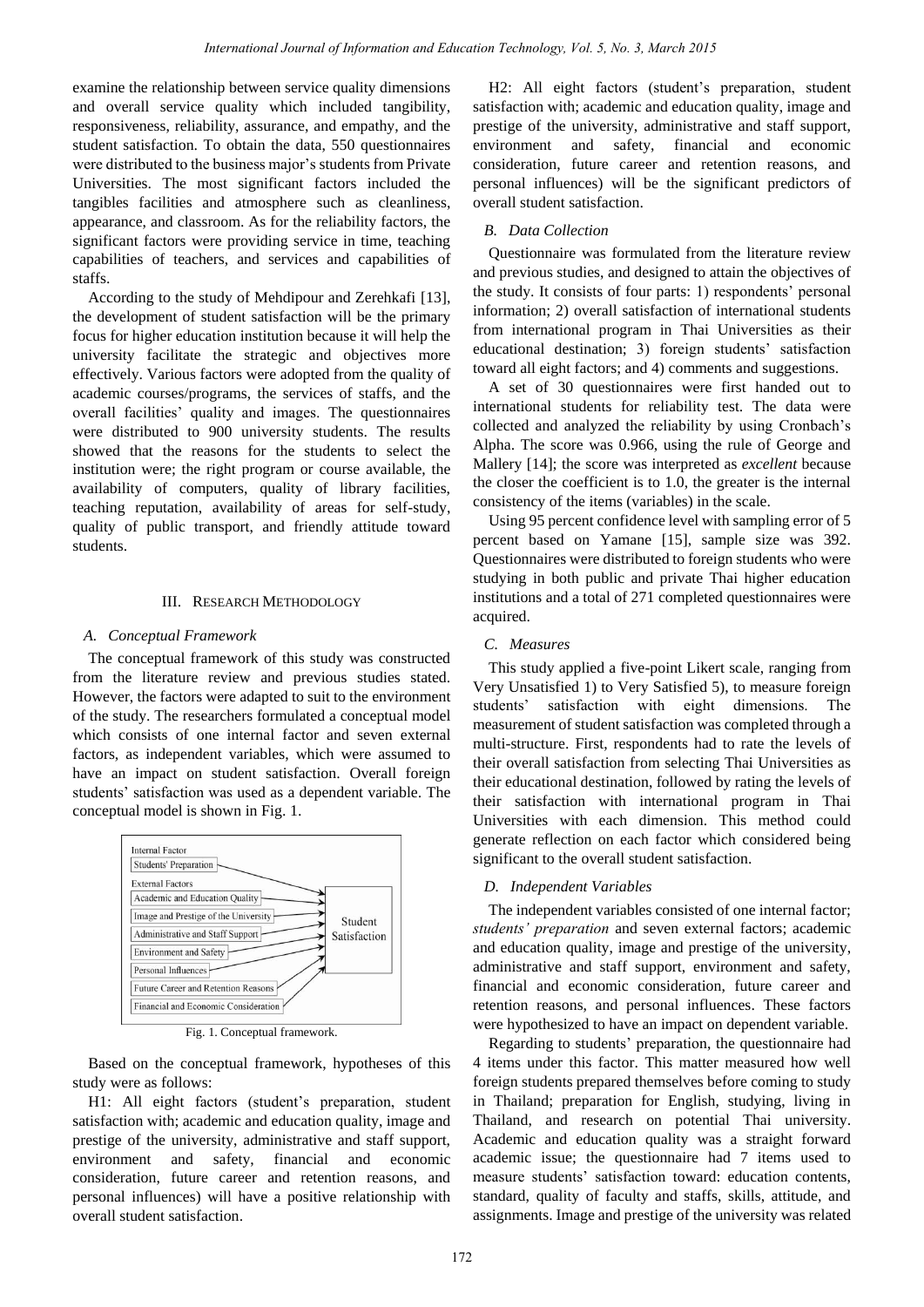examine the relationship between service quality dimensions and overall service quality which included tangibility, responsiveness, reliability, assurance, and empathy, and the student satisfaction. To obtain the data, 550 questionnaires were distributed to the business major's students from Private Universities. The most significant factors included the tangibles facilities and atmosphere such as cleanliness, appearance, and classroom. As for the reliability factors, the significant factors were providing service in time, teaching capabilities of teachers, and services and capabilities of staffs.

According to the study of Mehdipour and Zerehkafi [13], the development of student satisfaction will be the primary focus for higher education institution because it will help the university facilitate the strategic and objectives more effectively. Various factors were adopted from the quality of academic courses/programs, the services of staffs, and the overall facilities' quality and images. The questionnaires were distributed to 900 university students. The results showed that the reasons for the students to select the institution were; the right program or course available, the availability of computers, quality of library facilities, teaching reputation, availability of areas for self-study, quality of public transport, and friendly attitude toward students.

## III. RESEARCH METHODOLOGY

## *A. Conceptual Framework*

The conceptual framework of this study was constructed from the literature review and previous studies stated. However, the factors were adapted to suit to the environment of the study. The researchers formulated a conceptual model which consists of one internal factor and seven external factors, as independent variables, which were assumed to have an impact on student satisfaction. Overall foreign students' satisfaction was used as a dependent variable. The conceptual model is shown in Fig. 1.



Fig. 1. Conceptual framework.

Based on the conceptual framework, hypotheses of this study were as follows:

H1: All eight factors (student's preparation, student satisfaction with; academic and education quality, image and prestige of the university, administrative and staff support, environment and safety, financial and economic consideration, future career and retention reasons, and personal influences) will have a positive relationship with overall student satisfaction.

H2: All eight factors (student's preparation, student satisfaction with; academic and education quality, image and prestige of the university, administrative and staff support, environment and safety, financial and economic consideration, future career and retention reasons, and personal influences) will be the significant predictors of overall student satisfaction.

## *B. Data Collection*

Questionnaire was formulated from the literature review and previous studies, and designed to attain the objectives of the study. It consists of four parts: 1) respondents' personal information; 2) overall satisfaction of international students from international program in Thai Universities as their educational destination; 3) foreign students' satisfaction toward all eight factors; and 4) comments and suggestions.

A set of 30 questionnaires were first handed out to international students for reliability test. The data were collected and analyzed the reliability by using Cronbach's Alpha. The score was 0.966, using the rule of George and Mallery [14]; the score was interpreted as *excellent* because the closer the coefficient is to 1.0, the greater is the internal consistency of the items (variables) in the scale.

Using 95 percent confidence level with sampling error of 5 percent based on Yamane [15], sample size was 392. Questionnaires were distributed to foreign students who were studying in both public and private Thai higher education institutions and a total of 271 completed questionnaires were acquired.

## *C. Measures*

This study applied a five-point Likert scale, ranging from Very Unsatisfied 1) to Very Satisfied 5), to measure foreign students' satisfaction with eight dimensions. The measurement of student satisfaction was completed through a multi-structure. First, respondents had to rate the levels of their overall satisfaction from selecting Thai Universities as their educational destination, followed by rating the levels of their satisfaction with international program in Thai Universities with each dimension. This method could generate reflection on each factor which considered being significant to the overall student satisfaction.

#### *D. Independent Variables*

The independent variables consisted of one internal factor; *students' preparation* and seven external factors; academic and education quality, image and prestige of the university, administrative and staff support, environment and safety, financial and economic consideration, future career and retention reasons, and personal influences. These factors were hypothesized to have an impact on dependent variable.

Regarding to students' preparation, the questionnaire had 4 items under this factor. This matter measured how well foreign students prepared themselves before coming to study in Thailand; preparation for English, studying, living in Thailand, and research on potential Thai university. Academic and education quality was a straight forward academic issue; the questionnaire had 7 items used to measure students' satisfaction toward: education contents, standard, quality of faculty and staffs, skills, attitude, and assignments. Image and prestige of the university was related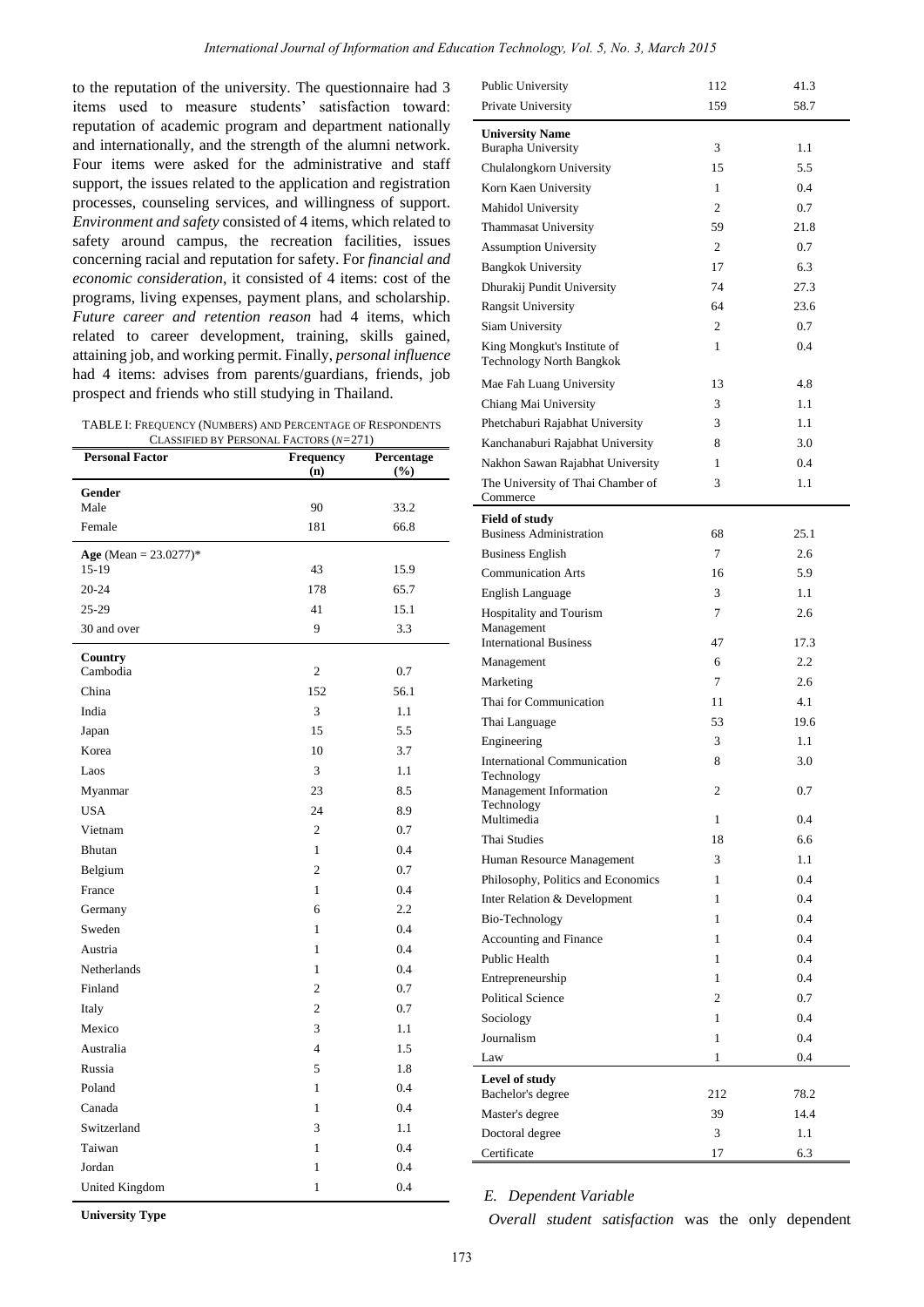to the reputation of the university. The questionnaire had 3 items used to measure students' satisfaction toward: reputation of academic program and department nationally and internationally, and the strength of the alumni network. Four items were asked for the administrative and staff support, the issues related to the application and registration processes, counseling services, and willingness of support. *Environment and safety* consisted of 4 items, which related to safety around campus, the recreation facilities, issues concerning racial and reputation for safety. For *financial and economic consideration*, it consisted of 4 items: cost of the programs, living expenses, payment plans, and scholarship. *Future career and retention reason* had 4 items, which related to career development, training, skills gained, attaining job, and working permit. Finally, *personal influence* had 4 items: advises from parents/guardians, friends, job prospect and friends who still studying in Thailand.

TABLE I: FREQUENCY (NUMBERS) AND PERCENTAGE OF RESPONDENTS CLASSIFIED BY PERSONAL FACTORS (*N=*271)

| <b>Personal Factor</b>   | Frequency<br>(n) | Percentage<br>$(\%)$ |
|--------------------------|------------------|----------------------|
| Gender                   |                  |                      |
| Male                     | 90               | 33.2                 |
| Female                   | 181              | 66.8                 |
| Age (Mean = $23.0277$ )* |                  |                      |
| $15-19$                  | 43               | 15.9                 |
| $20 - 24$                | 178              | 65.7                 |
| 25-29                    | 41               | 15.1                 |
| 30 and over              | 9                | 3.3                  |
| Country<br>Cambodia      | $\mathfrak{2}$   | 0.7                  |
| China                    | 152              | 56.1                 |
| India                    | 3                | 1.1                  |
| Japan                    | 15               | 5.5                  |
| Korea                    | 10               | 3.7                  |
| Laos                     | 3                | 1.1                  |
| Myanmar                  | 23               | 8.5                  |
| <b>USA</b>               | 24               | 8.9                  |
| Vietnam                  | $\overline{c}$   | 0.7                  |
| Bhutan                   | $\mathbf{1}$     | 0.4                  |
| Belgium                  | $\overline{2}$   | 0.7                  |
| France                   | $\mathbf{1}$     | 0.4                  |
| Germany                  | 6                | 2.2                  |
| Sweden                   | $\mathbf{1}$     | 0.4                  |
| Austria                  | 1                | 0.4                  |
| Netherlands              | 1                | 0.4                  |
| Finland                  | $\overline{2}$   | 0.7                  |
| Italy                    | $\overline{c}$   | 0.7                  |
| Mexico                   | 3                | 1.1                  |
| Australia                | $\overline{4}$   | 1.5                  |
| Russia                   | 5                | 1.8                  |
| Poland                   | 1                | 0.4                  |
| Canada                   | $\mathbf{1}$     | 0.4                  |
| Switzerland              | 3                | 1.1                  |
| Taiwan                   | 1                | 0.4                  |
| Jordan                   | $\mathbf{1}$     | 0.4                  |
| United Kingdom           | $\mathbf{1}$     | 0.4                  |

| Public University                                       | 112            | 41.3 |
|---------------------------------------------------------|----------------|------|
| Private University                                      | 159            | 58.7 |
| <b>University Name</b>                                  |                |      |
| <b>Burapha University</b>                               | 3              | 1.1  |
| Chulalongkorn University                                | 15             | 5.5  |
| Korn Kaen University                                    | 1              | 0.4  |
| Mahidol University                                      | $\overline{c}$ | 0.7  |
| Thammasat University                                    | 59             | 21.8 |
| <b>Assumption University</b>                            | 2              | 0.7  |
| <b>Bangkok University</b>                               | 17             | 6.3  |
| Dhurakij Pundit University                              | 74             | 27.3 |
| <b>Rangsit University</b>                               | 64             | 23.6 |
| Siam University                                         | $\overline{c}$ | 0.7  |
| King Mongkut's Institute of<br>Technology North Bangkok | 1              | 0.4  |
| Mae Fah Luang University                                | 13             | 4.8  |
| Chiang Mai University                                   | 3              | 1.1  |
| Phetchaburi Rajabhat University                         | 3              | 1.1  |
| Kanchanaburi Rajabhat University                        | 8              | 3.0  |
| Nakhon Sawan Rajabhat University                        | 1              | 0.4  |
| The University of Thai Chamber of                       | 3              | 1.1  |
| Commerce                                                |                |      |
| <b>Field of study</b><br><b>Business Administration</b> | 68             | 25.1 |
| <b>Business English</b>                                 | 7              | 2.6  |
| <b>Communication Arts</b>                               | 16             | 5.9  |
| <b>English Language</b>                                 | 3              | 1.1  |
| Hospitality and Tourism                                 | 7              | 2.6  |
| Management<br><b>International Business</b>             | 47             | 17.3 |
| Management                                              | 6              | 2.2  |
| Marketing                                               | 7              | 2.6  |
| Thai for Communication                                  | 11             | 4.1  |
| Thai Language                                           | 53             | 19.6 |
| Engineering                                             | 3              | 1.1  |
| <b>International Communication</b>                      | 8              | 3.0  |
| Technology                                              |                |      |
| Management Information<br>Technology                    | 2              | 0.7  |
| Multimedia                                              | 1              | 0.4  |
| <b>Thai Studies</b>                                     | 18             | 6.6  |
| Human Resource Management                               | 3              | 1.1  |
| Philosophy, Politics and Economics                      | 1              | 0.4  |
| Inter Relation & Development                            | 1              | 0.4  |
| Bio-Technology                                          | 1              | 0.4  |
| Accounting and Finance                                  | 1              | 0.4  |
| Public Health                                           | 1              | 0.4  |
| Entrepreneurship                                        | 1              | 0.4  |
| <b>Political Science</b>                                | $\overline{c}$ | 0.7  |
| Sociology                                               | 1              | 0.4  |
| Journalism                                              | 1              | 0.4  |
| Law                                                     | 1              | 0.4  |
| Level of study                                          |                |      |
| Bachelor's degree                                       | 212            | 78.2 |
| Master's degree                                         | 39             | 14.4 |
| Doctoral degree                                         | 3              | 1.1  |
| Certificate                                             | 17             | 6.3  |

*E. Dependent Variable* 

**University Type**

*Overall student satisfaction* was the only dependent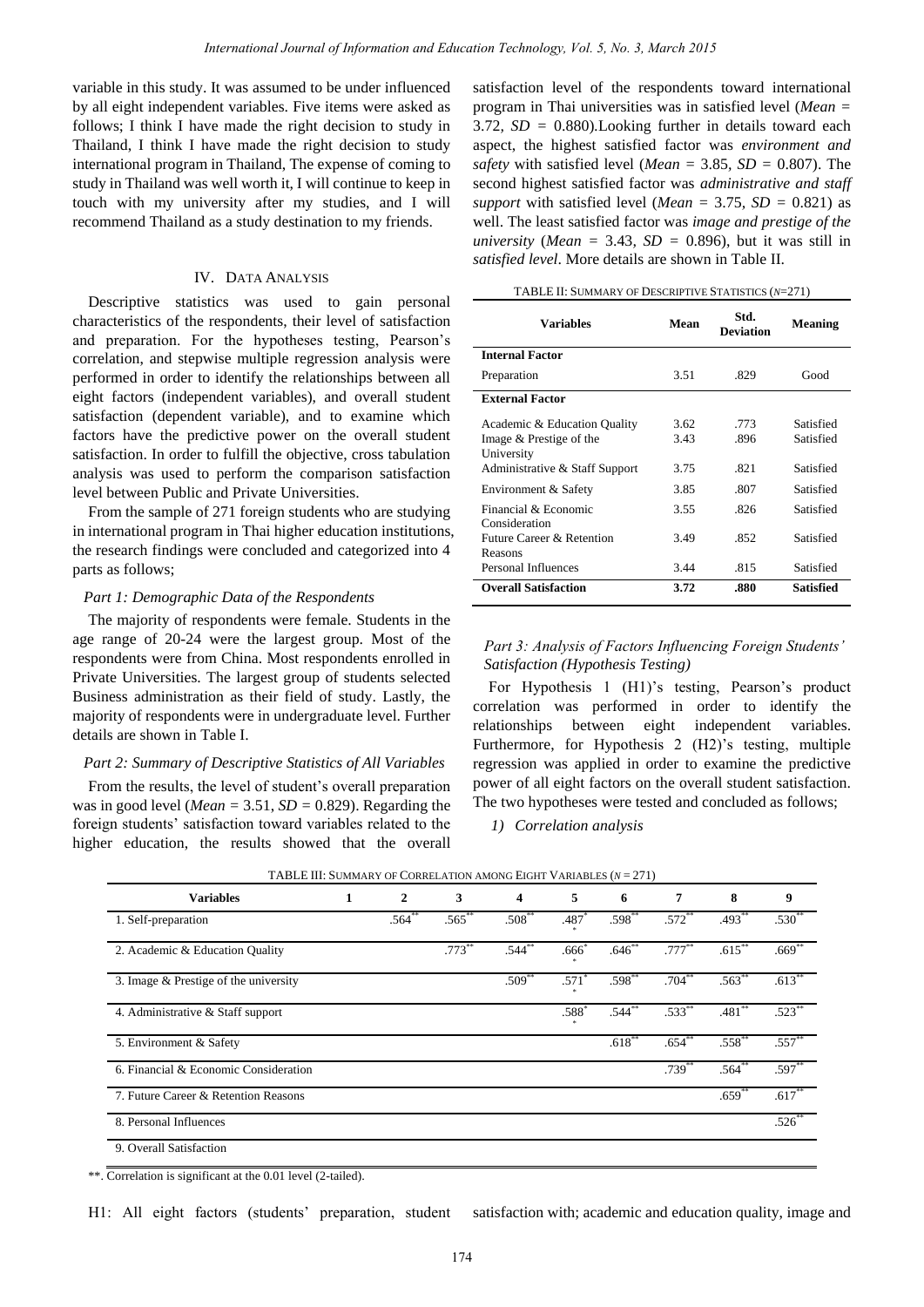variable in this study. It was assumed to be under influenced by all eight independent variables. Five items were asked as follows; I think I have made the right decision to study in Thailand, I think I have made the right decision to study international program in Thailand, The expense of coming to study in Thailand was well worth it, I will continue to keep in touch with my university after my studies, and I will recommend Thailand as a study destination to my friends.

## IV. DATA ANALYSIS

Descriptive statistics was used to gain personal characteristics of the respondents, their level of satisfaction and preparation. For the hypotheses testing, Pearson's correlation, and stepwise multiple regression analysis were performed in order to identify the relationships between all eight factors (independent variables), and overall student satisfaction (dependent variable), and to examine which factors have the predictive power on the overall student satisfaction. In order to fulfill the objective, cross tabulation analysis was used to perform the comparison satisfaction level between Public and Private Universities.

From the sample of 271 foreign students who are studying in international program in Thai higher education institutions, the research findings were concluded and categorized into 4 parts as follows;

#### *Part 1: Demographic Data of the Respondents*

The majority of respondents were female. Students in the age range of 20-24 were the largest group. Most of the respondents were from China. Most respondents enrolled in Private Universities. The largest group of students selected Business administration as their field of study. Lastly, the majority of respondents were in undergraduate level. Further details are shown in Table I.

#### *Part 2: Summary of Descriptive Statistics of All Variables*

From the results, the level of student's overall preparation was in good level (*Mean* =  $3.51$ , *SD* = 0.829). Regarding the foreign students' satisfaction toward variables related to the higher education, the results showed that the overall satisfaction level of the respondents toward international program in Thai universities was in satisfied level (*Mean =*  3.72*, SD =* 0.880)*.*Looking further in details toward each aspect, the highest satisfied factor was *environment and safety* with satisfied level (*Mean =* 3.85*, SD =* 0.807). The second highest satisfied factor was *administrative and staff support* with satisfied level (*Mean = 3.75, SD = 0.821*) as well. The least satisfied factor was *image and prestige of the university (Mean =* 3.43*, SD =* 0.896), but it was still in *satisfied level*. More details are shown in Table II.

| TABLE II: SUMMARY OF DESCRIPTIVE STATISTICS (N=271) |
|-----------------------------------------------------|
|-----------------------------------------------------|

| <b>Variables</b>                                                                                        | Mean                 | Std.<br><b>Deviation</b> | <b>Meaning</b>                      |
|---------------------------------------------------------------------------------------------------------|----------------------|--------------------------|-------------------------------------|
| <b>Internal Factor</b>                                                                                  |                      |                          |                                     |
| Preparation                                                                                             | 3.51                 | .829                     | Good                                |
| <b>External Factor</b>                                                                                  |                      |                          |                                     |
| Academic & Education Quality<br>Image & Prestige of the<br>University<br>Administrative & Staff Support | 3.62<br>3.43<br>3.75 | .773<br>.896<br>.821     | Satisfied<br>Satisfied<br>Satisfied |
| Environment & Safety                                                                                    | 3.85                 | .807                     | Satisfied                           |
| Financial & Economic<br>Consideration                                                                   | 3.55                 | .826                     | Satisfied                           |
| Future Career & Retention<br>Reasons                                                                    | 3.49                 | .852                     | Satisfied                           |
| Personal Influences                                                                                     | 3.44                 | .815                     | Satisfied                           |
| <b>Overall Satisfaction</b>                                                                             | 3.72                 | .880                     | Satisfied                           |

## *Part 3: Analysis of Factors Influencing Foreign Students' Satisfaction (Hypothesis Testing)*

For Hypothesis 1 (H1)'s testing, Pearson's product correlation was performed in order to identify the relationships between eight independent variables. Furthermore, for Hypothesis 2 (H2)'s testing, multiple regression was applied in order to examine the predictive power of all eight factors on the overall student satisfaction. The two hypotheses were tested and concluded as follows;

*1) Correlation analysis*

| <b>Variables</b>                      | 1 | $\mathbf{2}$ | 3         | $\overline{\mathbf{4}}$ | 5              | 6                    | 7           | 8                   | 9           |
|---------------------------------------|---|--------------|-----------|-------------------------|----------------|----------------------|-------------|---------------------|-------------|
| 1. Self-preparation                   |   | $.564**$     | $.565***$ | $.508**$                | $.487*$        | $.598^{**}$          | $.572**$    | $.493**$            | $.530^{**}$ |
| 2. Academic & Education Quality       |   |              | $.773***$ | $.544**$                | $.666*$        | $.646**$             | $.777***$   | $.615***$           | $.669**$    |
| 3. Image & Prestige of the university |   |              |           | $.509**$                | $.571*$        | $.598**$             | $.704***$   | $.563**$            | $.613**$    |
| 4. Administrative & Staff support     |   |              |           |                         | $.588^{\circ}$ | $.544$ <sup>**</sup> | $.533**$    | $.481$ <sup>*</sup> | .523        |
| 5. Environment & Safety               |   |              |           |                         |                | $.618***$            | $.654^{**}$ | $.558^{**}$         | $.557^{**}$ |
| 6. Financial & Economic Consideration |   |              |           |                         |                |                      | $.739$ **   | .564                | $.597**$    |
| 7. Future Career & Retention Reasons  |   |              |           |                         |                |                      |             | $.659$ <sup>*</sup> | $.617**$    |
| 8. Personal Influences                |   |              |           |                         |                |                      |             |                     | $.526*$     |
| 9. Overall Satisfaction               |   |              |           |                         |                |                      |             |                     |             |

| TABLE III: SUMMARY OF CORRELATION AMONG EIGHT VARIABLES $(N = 271)$ |  |
|---------------------------------------------------------------------|--|
|---------------------------------------------------------------------|--|

\*\*. Correlation is significant at the 0.01 level (2-tailed).

H1: All eight factors (students' preparation, student satisfaction with; academic and education quality, image and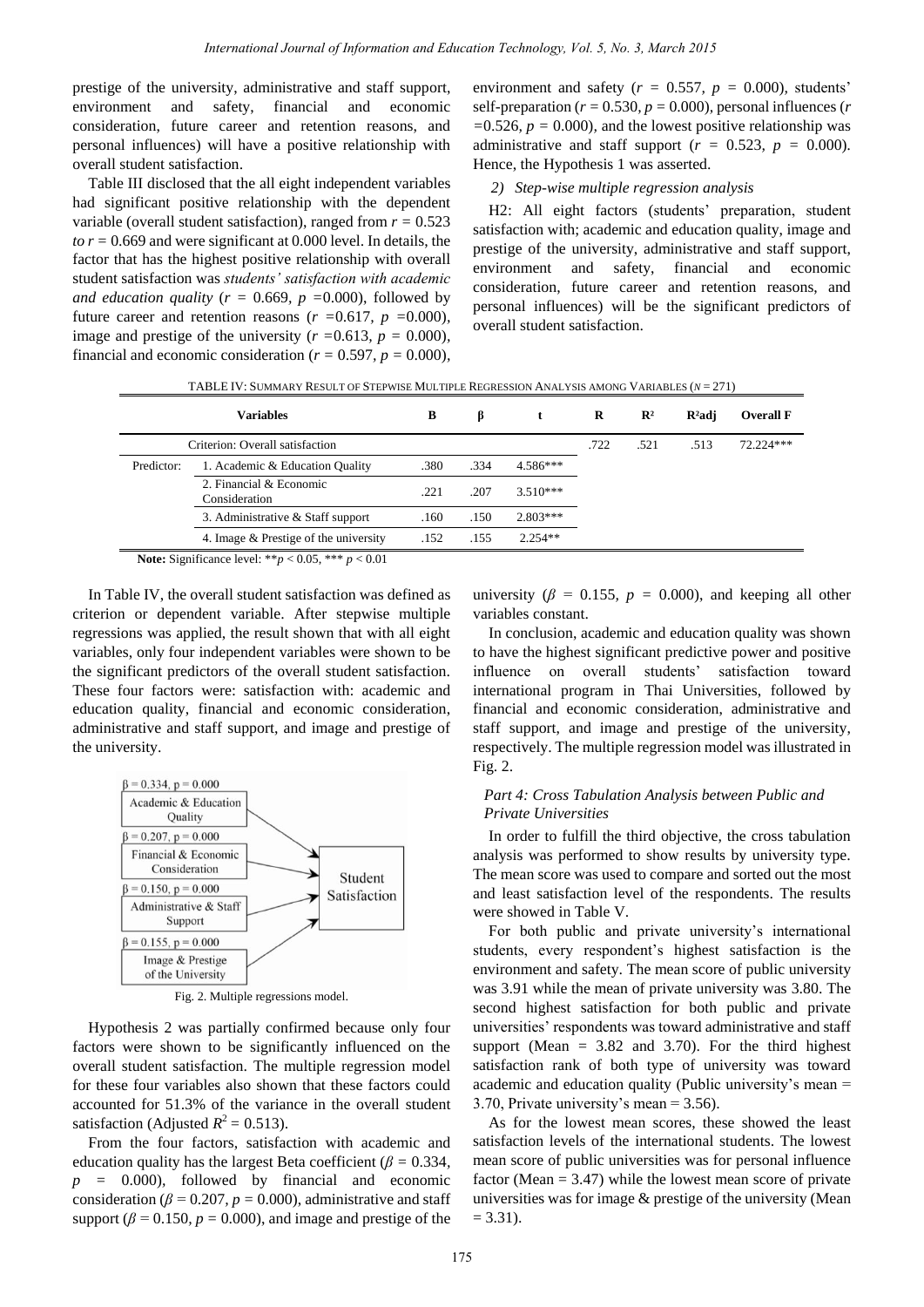prestige of the university, administrative and staff support, environment and safety, financial and economic consideration, future career and retention reasons, and personal influences) will have a positive relationship with overall student satisfaction.

Table III disclosed that the all eight independent variables had significant positive relationship with the dependent variable (overall student satisfaction), ranged from *r =* 0.523 *to*  $r = 0.669$  and were significant at 0.000 level. In details, the factor that has the highest positive relationship with overall student satisfaction was *students' satisfaction with academic and education quality (* $r = 0.669$ *,*  $p = 0.000$ *), followed by* future career and retention reasons  $(r = 0.617, p = 0.000)$ , image and prestige of the university ( $r = 0.613$ ,  $p = 0.000$ ), financial and economic consideration ( $r = 0.597$ ,  $p = 0.000$ ), environment and safety ( $r = 0.557$ ,  $p = 0.000$ ), students' self-preparation ( $r = 0.530$ ,  $p = 0.000$ ), personal influences ( $r = 0.530$ ) *=*0.526*, p =* 0.000)*,* and the lowest positive relationship was administrative and staff support ( $r = 0.523$ ,  $p = 0.000$ ). Hence, the Hypothesis 1 was asserted.

## *2) Step-wise multiple regression analysis*

H2: All eight factors (students' preparation, student satisfaction with; academic and education quality, image and prestige of the university, administrative and staff support, environment and safety, financial and economic consideration, future career and retention reasons, and personal influences) will be the significant predictors of overall student satisfaction.

| TABLE IV: SUMMARY RESULT OF STEPWISE MULTIPLE REGRESSION ANALYSIS AMONG VARIABLES $(N = 271)$ |                                          |      |      |            |      |                |       |                  |
|-----------------------------------------------------------------------------------------------|------------------------------------------|------|------|------------|------|----------------|-------|------------------|
|                                                                                               | <b>Variables</b>                         | В    | β    |            | R    | $\mathbb{R}^2$ | R adj | <b>Overall F</b> |
|                                                                                               | Criterion: Overall satisfaction          |      |      |            | .722 | .521           | .513  | $72.224***$      |
| Predictor:                                                                                    | 1. Academic & Education Quality          | .380 | .334 | $4.586***$ |      |                |       |                  |
|                                                                                               | 2. Financial & Economic<br>Consideration | .221 | .207 | $3.510***$ |      |                |       |                  |
|                                                                                               | 3. Administrative & Staff support        | .160 | .150 | $2.803***$ |      |                |       |                  |
|                                                                                               | 4. Image & Prestige of the university    | .152 | .155 | $2.254**$  |      |                |       |                  |
| Motor Cianificanos laval: *** $>0.05$ *** $\sim 0.01$                                         |                                          |      |      |            |      |                |       |                  |

**Note:** Significance level: \*\**p* < 0.05, \*\*\* *p* < 0.01

In Table IV, the overall student satisfaction was defined as criterion or dependent variable. After stepwise multiple regressions was applied, the result shown that with all eight variables, only four independent variables were shown to be the significant predictors of the overall student satisfaction. These four factors were: satisfaction with: academic and education quality, financial and economic consideration, administrative and staff support, and image and prestige of the university.



Fig. 2. Multiple regressions model.

Hypothesis 2 was partially confirmed because only four factors were shown to be significantly influenced on the overall student satisfaction. The multiple regression model for these four variables also shown that these factors could accounted for 51.3% of the variance in the overall student satisfaction (Adjusted  $R^2 = 0.513$ ).

From the four factors, satisfaction with academic and education quality has the largest Beta coefficient ( $\beta$  = 0.334*,*  $p = 0.000$ *)*, followed by financial and economic consideration ( $\beta$  = 0.207*, p* = 0.000), administrative and staff support ( $\beta$  = 0.150*, p* = 0.000), and image and prestige of the university ( $\beta$  = 0.155*, p* = 0.000), and keeping all other variables constant.

In conclusion, academic and education quality was shown to have the highest significant predictive power and positive influence on overall students' satisfaction toward international program in Thai Universities, followed by financial and economic consideration, administrative and staff support, and image and prestige of the university, respectively. The multiple regression model was illustrated in Fig. 2.

## *Part 4: Cross Tabulation Analysis between Public and Private Universities*

In order to fulfill the third objective, the cross tabulation analysis was performed to show results by university type. The mean score was used to compare and sorted out the most and least satisfaction level of the respondents. The results were showed in Table V.

For both public and private university's international students, every respondent's highest satisfaction is the environment and safety. The mean score of public university was 3.91 while the mean of private university was 3.80. The second highest satisfaction for both public and private universities' respondents was toward administrative and staff support (Mean  $= 3.82$  and 3.70). For the third highest satisfaction rank of both type of university was toward academic and education quality (Public university's mean = 3.70, Private university's mean = 3.56).

As for the lowest mean scores, these showed the least satisfaction levels of the international students. The lowest mean score of public universities was for personal influence factor (Mean  $= 3.47$ ) while the lowest mean score of private universities was for image & prestige of the university (Mean  $= 3.31$ ).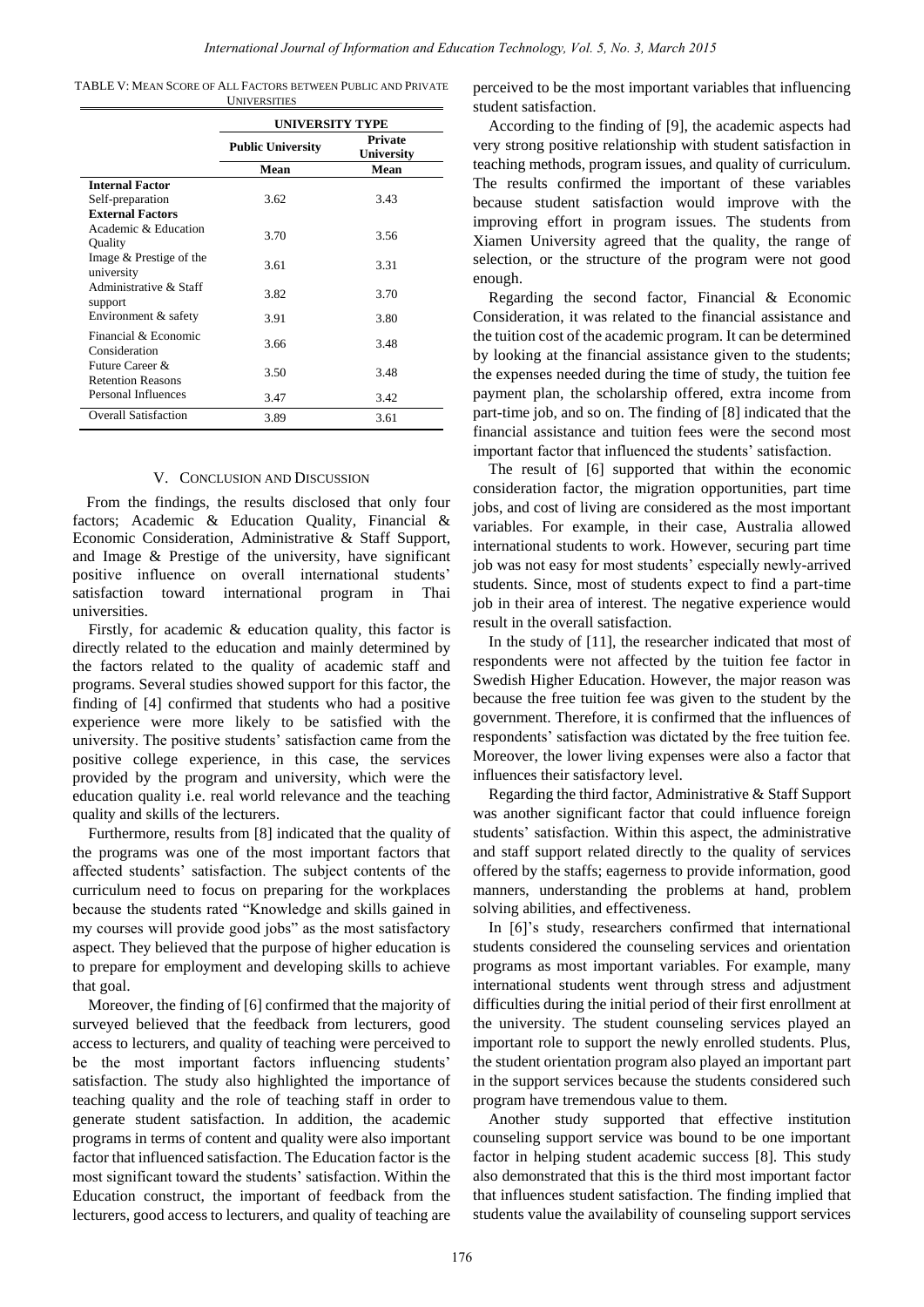TABLE V: MEAN SCORE OF ALL FACTORS BETWEEN PUBLIC AND PRIVATE **UNIVERSITIES** 

|                                             | <b>UNIVERSITY TYPE</b>   |                              |  |  |  |  |
|---------------------------------------------|--------------------------|------------------------------|--|--|--|--|
|                                             | <b>Public University</b> | <b>Private</b><br>University |  |  |  |  |
|                                             | Mean                     | Mean                         |  |  |  |  |
| <b>Internal Factor</b>                      |                          |                              |  |  |  |  |
| Self-preparation                            | 3.62                     | 3.43                         |  |  |  |  |
| <b>External Factors</b>                     |                          |                              |  |  |  |  |
| Academic & Education<br>Quality             | 3.70                     | 3.56                         |  |  |  |  |
| Image & Prestige of the<br>university       | 3.61                     | 3.31                         |  |  |  |  |
| Administrative & Staff<br>support           | 3.82                     | 3.70                         |  |  |  |  |
| Environment & safety                        | 3.91                     | 3.80                         |  |  |  |  |
| Financial & Economic<br>Consideration       | 3.66                     | 3.48                         |  |  |  |  |
| Future Career &<br><b>Retention Reasons</b> | 3.50                     | 3.48                         |  |  |  |  |
| Personal Influences                         | 3.47                     | 3.42                         |  |  |  |  |
| <b>Overall Satisfaction</b>                 | 3.89                     | 3.61                         |  |  |  |  |

## V. CONCLUSION AND DISCUSSION

From the findings, the results disclosed that only four factors; Academic & Education Quality, Financial & Economic Consideration, Administrative & Staff Support, and Image & Prestige of the university, have significant positive influence on overall international students' satisfaction toward international program in Thai universities.

Firstly, for academic & education quality, this factor is directly related to the education and mainly determined by the factors related to the quality of academic staff and programs. Several studies showed support for this factor, the finding of [4] confirmed that students who had a positive experience were more likely to be satisfied with the university. The positive students' satisfaction came from the positive college experience, in this case, the services provided by the program and university, which were the education quality i.e. real world relevance and the teaching quality and skills of the lecturers.

Furthermore, results from [8] indicated that the quality of the programs was one of the most important factors that affected students' satisfaction. The subject contents of the curriculum need to focus on preparing for the workplaces because the students rated "Knowledge and skills gained in my courses will provide good jobs" as the most satisfactory aspect. They believed that the purpose of higher education is to prepare for employment and developing skills to achieve that goal.

Moreover, the finding of [6] confirmed that the majority of surveyed believed that the feedback from lecturers, good access to lecturers, and quality of teaching were perceived to be the most important factors influencing students' satisfaction. The study also highlighted the importance of teaching quality and the role of teaching staff in order to generate student satisfaction. In addition, the academic programs in terms of content and quality were also important factor that influenced satisfaction. The Education factor is the most significant toward the students' satisfaction. Within the Education construct, the important of feedback from the lecturers, good access to lecturers, and quality of teaching are perceived to be the most important variables that influencing student satisfaction.

According to the finding of [9], the academic aspects had very strong positive relationship with student satisfaction in teaching methods, program issues, and quality of curriculum. The results confirmed the important of these variables because student satisfaction would improve with the improving effort in program issues. The students from Xiamen University agreed that the quality, the range of selection, or the structure of the program were not good enough.

Regarding the second factor, Financial & Economic Consideration, it was related to the financial assistance and the tuition cost of the academic program. It can be determined by looking at the financial assistance given to the students; the expenses needed during the time of study, the tuition fee payment plan, the scholarship offered, extra income from part-time job, and so on. The finding of [8] indicated that the financial assistance and tuition fees were the second most important factor that influenced the students' satisfaction.

The result of [6] supported that within the economic consideration factor, the migration opportunities, part time jobs, and cost of living are considered as the most important variables. For example, in their case, Australia allowed international students to work. However, securing part time job was not easy for most students' especially newly-arrived students. Since, most of students expect to find a part-time job in their area of interest. The negative experience would result in the overall satisfaction.

In the study of [11], the researcher indicated that most of respondents were not affected by the tuition fee factor in Swedish Higher Education. However, the major reason was because the free tuition fee was given to the student by the government. Therefore, it is confirmed that the influences of respondents' satisfaction was dictated by the free tuition fee. Moreover, the lower living expenses were also a factor that influences their satisfactory level.

Regarding the third factor, Administrative & Staff Support was another significant factor that could influence foreign students' satisfaction. Within this aspect, the administrative and staff support related directly to the quality of services offered by the staffs; eagerness to provide information, good manners, understanding the problems at hand, problem solving abilities, and effectiveness.

In [6]'s study, researchers confirmed that international students considered the counseling services and orientation programs as most important variables. For example, many international students went through stress and adjustment difficulties during the initial period of their first enrollment at the university. The student counseling services played an important role to support the newly enrolled students. Plus, the student orientation program also played an important part in the support services because the students considered such program have tremendous value to them.

Another study supported that effective institution counseling support service was bound to be one important factor in helping student academic success [8]. This study also demonstrated that this is the third most important factor that influences student satisfaction. The finding implied that students value the availability of counseling support services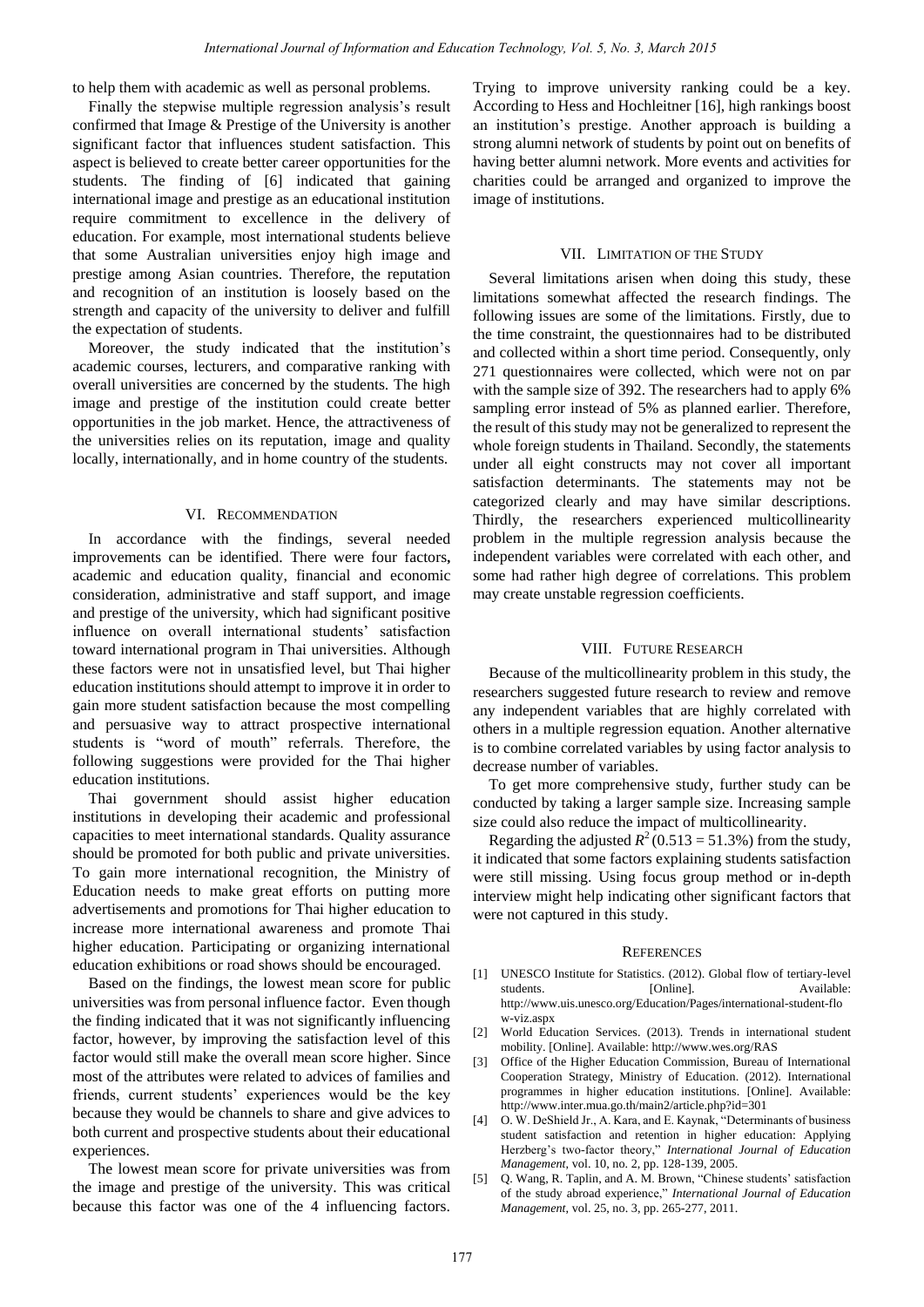to help them with academic as well as personal problems.

Finally the stepwise multiple regression analysis's result confirmed that Image & Prestige of the University is another significant factor that influences student satisfaction. This aspect is believed to create better career opportunities for the students. The finding of [6] indicated that gaining international image and prestige as an educational institution require commitment to excellence in the delivery of education. For example, most international students believe that some Australian universities enjoy high image and prestige among Asian countries. Therefore, the reputation and recognition of an institution is loosely based on the strength and capacity of the university to deliver and fulfill the expectation of students.

Moreover, the study indicated that the institution's academic courses, lecturers, and comparative ranking with overall universities are concerned by the students. The high image and prestige of the institution could create better opportunities in the job market. Hence, the attractiveness of the universities relies on its reputation, image and quality locally, internationally, and in home country of the students.

#### VI. RECOMMENDATION

In accordance with the findings, several needed improvements can be identified. There were four factors**,**  academic and education quality, financial and economic consideration, administrative and staff support, and image and prestige of the university, which had significant positive influence on overall international students' satisfaction toward international program in Thai universities. Although these factors were not in unsatisfied level, but Thai higher education institutions should attempt to improve it in order to gain more student satisfaction because the most compelling and persuasive way to attract prospective international students is "word of mouth" referrals. Therefore, the following suggestions were provided for the Thai higher education institutions.

Thai government should assist higher education institutions in developing their academic and professional capacities to meet international standards. Quality assurance should be promoted for both public and private universities. To gain more international recognition, the Ministry of Education needs to make great efforts on putting more advertisements and promotions for Thai higher education to increase more international awareness and promote Thai higher education. Participating or organizing international education exhibitions or road shows should be encouraged.

Based on the findings, the lowest mean score for public universities was from personal influence factor. Even though the finding indicated that it was not significantly influencing factor, however, by improving the satisfaction level of this factor would still make the overall mean score higher. Since most of the attributes were related to advices of families and friends, current students' experiences would be the key because they would be channels to share and give advices to both current and prospective students about their educational experiences.

The lowest mean score for private universities was from the image and prestige of the university. This was critical because this factor was one of the 4 influencing factors.

Trying to improve university ranking could be a key. According to Hess and Hochleitner [16], high rankings boost an institution's prestige. Another approach is building a strong alumni network of students by point out on benefits of having better alumni network. More events and activities for charities could be arranged and organized to improve the image of institutions.

#### VII. LIMITATION OF THE STUDY

Several limitations arisen when doing this study, these limitations somewhat affected the research findings. The following issues are some of the limitations. Firstly, due to the time constraint, the questionnaires had to be distributed and collected within a short time period. Consequently, only 271 questionnaires were collected, which were not on par with the sample size of 392. The researchers had to apply 6% sampling error instead of 5% as planned earlier. Therefore, the result of this study may not be generalized to represent the whole foreign students in Thailand. Secondly, the statements under all eight constructs may not cover all important satisfaction determinants. The statements may not be categorized clearly and may have similar descriptions. Thirdly, the researchers experienced multicollinearity problem in the multiple regression analysis because the independent variables were correlated with each other, and some had rather high degree of correlations. This problem may create unstable regression coefficients.

### VIII. FUTURE RESEARCH

Because of the multicollinearity problem in this study, the researchers suggested future research to review and remove any independent variables that are highly correlated with others in a multiple regression equation. Another alternative is to combine correlated variables by using factor analysis to decrease number of variables.

To get more comprehensive study, further study can be conducted by taking a larger sample size. Increasing sample size could also reduce the impact of multicollinearity.

Regarding the adjusted  $R^2$  (0.513 = 51.3%) from the study, it indicated that some factors explaining students satisfaction were still missing. Using focus group method or in-depth interview might help indicating other significant factors that were not captured in this study.

#### **REFERENCES**

- [1] UNESCO Institute for Statistics. (2012). Global flow of tertiary-level students. [Online]. Available: http://www.uis.unesco.org/Education/Pages/international-student-flo w-viz.aspx
- [2] World Education Services. (2013). Trends in international student mobility. [Online]. Available: http://www.wes.org/RAS
- [3] Office of the Higher Education Commission, Bureau of International Cooperation Strategy, Ministry of Education. (2012). International programmes in higher education institutions. [Online]. Available: http://www.inter.mua.go.th/main2/article.php?id=301
- [4] O. W. DeShield Jr., A. Kara, and E. Kaynak, "Determinants of business student satisfaction and retention in higher education: Applying Herzberg's two-factor theory," *International Journal of Education Management*, vol. 10, no. 2, pp. 128-139, 2005.
- [5] Q. Wang, R. Taplin, and A. M. Brown, "Chinese students' satisfaction of the study abroad experience," *International Journal of Education Management*, vol. 25, no. 3, pp. 265-277, 2011.